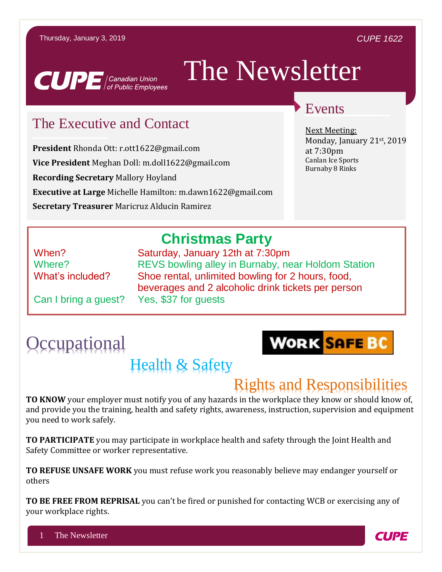#### *CUPE 1622*



# The Newsletter

### The Executive and Contact

**President** Rhonda Ott: r.ott1622@gmail.com **Vice President** Meghan Doll: m.doll1622@gmail.com **Recording Secretary** Mallory Hoyland **Executive at Large** Michelle Hamilton: m.dawn1622@gmail.com **Secretary Treasurer** Maricruz Alducin Ramirez

### Events

Next Meeting: Monday, January 21st, 2019 at 7:30pm Canlan Ice Sports Burnaby 8 Rinks

### **Christmas Party**

When? Saturday, January 12th at 7:30pm Where? REVS bowling alley in Burnaby, near Holdom Station What's included? Shoe rental, unlimited bowling for 2 hours, food, beverages and 2 alcoholic drink tickets per person

Can I bring a guest? Yes, \$37 for guests

# **Occupational**



# Health & Safety

## Rights and Responsibilities

**TO KNOW** your employer must notify you of any hazards in the workplace they know or should know of, and provide you the training, health and safety rights, awareness, instruction, supervision and equipment you need to work safely.

**TO PARTICIPATE** you may participate in workplace health and safety through the Joint Health and Safety Committee or worker representative.

**TO REFUSE UNSAFE WORK** you must refuse work you reasonably believe may endanger yourself or others

**TO BE FREE FROM REPRISAL** you can't be fired or punished for contacting WCB or exercising any of your workplace rights.

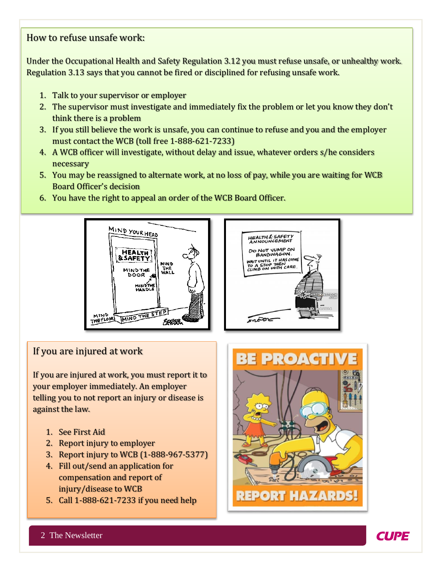### How to refuse unsafe work:

Under the Occupational Health and Safety Regulation 3.12 you must refuse unsafe, or unhealthy work. Regulation 3.13 says that you cannot be fired or disciplined for refusing unsafe work.

- 1. Talk to your supervisor or employer
- 2. The supervisor must investigate and immediately fix the problem or let you know they don't think there is a problem
- 3. If you still believe the work is unsafe, you can continue to refuse and you and the employer must contact the WCB (toll free 1-888-621-7233)
- 4. A WCB officer will investigate, without delay and issue, whatever orders s/he considers necessary
- 5. You may be reassigned to alternate work, at no loss of pay, while you are waiting for WCB Board Officer's decision
- 6. You have the right to appeal an order of the WCB Board Officer.





#### If you are injured at work

If you are injured at work, you must report it to your employer immediately. An employer telling you to not report an injury or disease is against the law.

- 1. See First Aid
- 2. Report injury to employer
- 3. Report injury to WCB (1-888-967-5377)
- 4. Fill out/send an application for compensation and report of injury/disease to WCB
- 5. Call 1-888-621-7233 if you need help